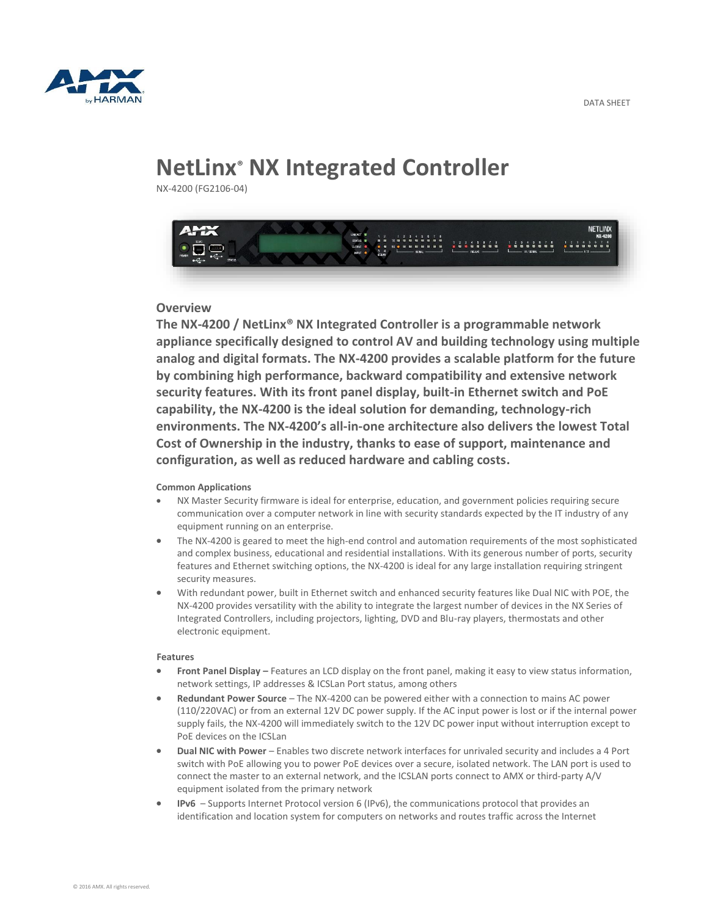

# **NetLinx® NX Integrated Controller**

NX-4200 (FG2106-04)



## **Overview**

**The NX-4200 / NetLinx® NX Integrated Controller is a programmable network appliance specifically designed to control AV and building technology using multiple analog and digital formats. The NX-4200 provides a scalable platform for the future by combining high performance, backward compatibility and extensive network security features. With its front panel display, built-in Ethernet switch and PoE capability, the NX-4200 is the ideal solution for demanding, technology-rich environments. The NX-4200's all-in-one architecture also delivers the lowest Total Cost of Ownership in the industry, thanks to ease of support, maintenance and configuration, as well as reduced hardware and cabling costs.**

### **Common Applications**

- NX Master Security firmware is ideal for enterprise, education, and government policies requiring secure communication over a computer network in line with security standards expected by the IT industry of any equipment running on an enterprise.
- The NX-4200 is geared to meet the high-end control and automation requirements of the most sophisticated and complex business, educational and residential installations. With its generous number of ports, security features and Ethernet switching options, the NX-4200 is ideal for any large installation requiring stringent security measures.
- With redundant power, built in Ethernet switch and enhanced security features like Dual NIC with POE, the NX-4200 provides versatility with the ability to integrate the largest number of devices in the NX Series of Integrated Controllers, including projectors, lighting, DVD and Blu-ray players, thermostats and other electronic equipment.

### **Features**

- **Front Panel Display –** Features an LCD display on the front panel, making it easy to view status information, network settings, IP addresses & ICSLan Port status, among others
- **Redundant Power Source** The NX-4200 can be powered either with a connection to mains AC power (110/220VAC) or from an external 12V DC power supply. If the AC input power is lost or if the internal power supply fails, the NX-4200 will immediately switch to the 12V DC power input without interruption except to PoE devices on the ICSLan
- **Dual NIC with Power** Enables two discrete network interfaces for unrivaled security and includes a 4 Port switch with PoE allowing you to power PoE devices over a secure, isolated network. The LAN port is used to connect the master to an external network, and the ICSLAN ports connect to AMX or third-party A/V equipment isolated from the primary network
- **IPv6**  Supports Internet Protocol version 6 (IPv6), the communications protocol that provides an identification and location system for computers on networks and routes traffic across the Internet

DATA SHEET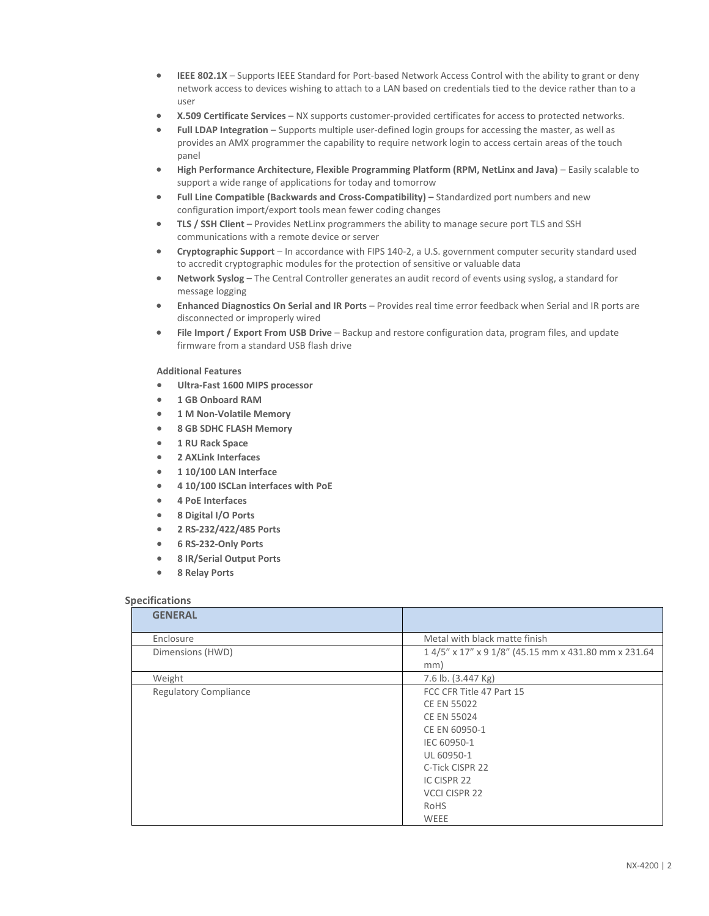- **IEEE 802.1X** Supports IEEE Standard for Port-based Network Access Control with the ability to grant or deny network access to devices wishing to attach to a LAN based on credentials tied to the device rather than to a user
- **X.509 Certificate Services** NX supports customer-provided certificates for access to protected networks.
- **Full LDAP Integration** Supports multiple user-defined login groups for accessing the master, as well as provides an AMX programmer the capability to require network login to access certain areas of the touch panel
- **High Performance Architecture, Flexible Programming Platform (RPM, NetLinx and Java)** Easily scalable to support a wide range of applications for today and tomorrow
- **Full Line Compatible (Backwards and Cross-Compatibility) –** Standardized port numbers and new configuration import/export tools mean fewer coding changes
- **TLS / SSH Client** Provides NetLinx programmers the ability to manage secure port TLS and SSH communications with a remote device or server
- **Cryptographic Support** In accordance with FIPS 140-2, a U.S. government computer security standard used to accredit cryptographic modules for the protection of sensitive or valuable data
- **Network Syslog –** The Central Controller generates an audit record of events using syslog, a standard for message logging
- **Enhanced Diagnostics On Serial and IR Ports** Provides real time error feedback when Serial and IR ports are disconnected or improperly wired
- **File Import / Export From USB Drive** Backup and restore configuration data, program files, and update firmware from a standard USB flash drive

### **Additional Features**

- **Ultra-Fast 1600 MIPS processor**
- **1 GB Onboard RAM**
- **1 M Non-Volatile Memory**
- **8 GB SDHC FLASH Memory**
- **1 RU Rack Space**
- **2 AXLink Interfaces**
- **1 10/100 LAN Interface**
- **4 10/100 ISCLan interfaces with PoE**
- **4 PoE Interfaces**
- **8 Digital I/O Ports**
- **2 RS-232/422/485 Ports**
- **6 RS-232-Only Ports**
- **8 IR/Serial Output Ports**
- **8 Relay Ports**

#### **Specifications**

| <b>GENERAL</b>               |                                                      |
|------------------------------|------------------------------------------------------|
|                              |                                                      |
| Enclosure                    | Metal with black matte finish                        |
| Dimensions (HWD)             | 1 4/5" x 17" x 9 1/8" (45.15 mm x 431.80 mm x 231.64 |
|                              | mm)                                                  |
| Weight                       | 7.6 lb. (3.447 Kg)                                   |
| <b>Regulatory Compliance</b> | FCC CFR Title 47 Part 15                             |
|                              | <b>CE EN 55022</b>                                   |
|                              | <b>CE EN 55024</b>                                   |
|                              | CE EN 60950-1                                        |
|                              | IEC 60950-1                                          |
|                              | UL 60950-1                                           |
|                              | C-Tick CISPR 22                                      |
|                              | IC CISPR 22                                          |
|                              | <b>VCCI CISPR 22</b>                                 |
|                              | RoHS                                                 |
|                              | WEEE                                                 |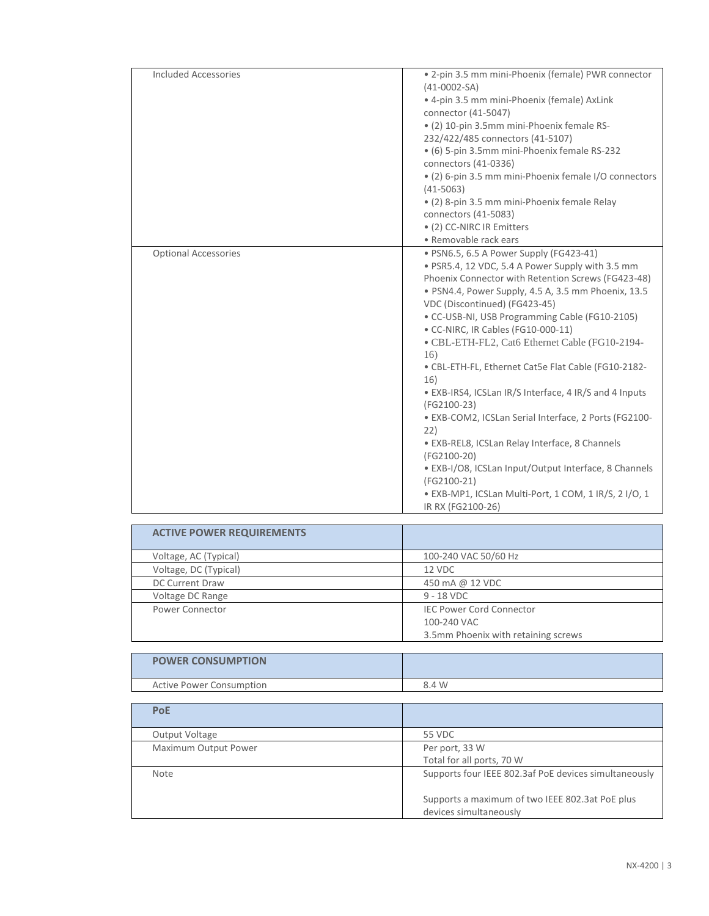| <b>Included Accessories</b> | • 2-pin 3.5 mm mini-Phoenix (female) PWR connector<br>$(41-0002-SA)$<br>· 4-pin 3.5 mm mini-Phoenix (female) AxLink<br>connector (41-5047)<br>• (2) 10-pin 3.5mm mini-Phoenix female RS-<br>232/422/485 connectors (41-5107)<br>• (6) 5-pin 3.5mm mini-Phoenix female RS-232<br>connectors (41-0336)<br>• (2) 6-pin 3.5 mm mini-Phoenix female I/O connectors<br>$(41 - 5063)$<br>• (2) 8-pin 3.5 mm mini-Phoenix female Relay<br>connectors (41-5083)<br>• (2) CC-NIRC IR Emitters<br>• Removable rack ears                                                                                                                                                                                                                                                                                                             |
|-----------------------------|--------------------------------------------------------------------------------------------------------------------------------------------------------------------------------------------------------------------------------------------------------------------------------------------------------------------------------------------------------------------------------------------------------------------------------------------------------------------------------------------------------------------------------------------------------------------------------------------------------------------------------------------------------------------------------------------------------------------------------------------------------------------------------------------------------------------------|
| <b>Optional Accessories</b> | · PSN6.5, 6.5 A Power Supply (FG423-41)<br>· PSR5.4, 12 VDC, 5.4 A Power Supply with 3.5 mm<br>Phoenix Connector with Retention Screws (FG423-48)<br>· PSN4.4, Power Supply, 4.5 A, 3.5 mm Phoenix, 13.5<br>VDC (Discontinued) (FG423-45)<br>• CC-USB-NI, USB Programming Cable (FG10-2105)<br>• CC-NIRC, IR Cables (FG10-000-11)<br>• CBL-ETH-FL2, Cat6 Ethernet Cable (FG10-2194-<br>16)<br>• CBL-ETH-FL, Ethernet Cat5e Flat Cable (FG10-2182-<br>16)<br>• EXB-IRS4, ICSLan IR/S Interface, 4 IR/S and 4 Inputs<br>(FG2100-23)<br>· EXB-COM2, ICSLan Serial Interface, 2 Ports (FG2100-<br>22)<br>· EXB-REL8, ICSLan Relay Interface, 8 Channels<br>(FG2100-20)<br>· EXB-I/O8, ICSLan Input/Output Interface, 8 Channels<br>(FG2100-21)<br>· EXB-MP1, ICSLan Multi-Port, 1 COM, 1 IR/S, 2 I/O, 1<br>IR RX (FG2100-26) |

| <b>ACTIVE POWER REQUIREMENTS</b> |                                     |
|----------------------------------|-------------------------------------|
| Voltage, AC (Typical)            | 100-240 VAC 50/60 Hz                |
| Voltage, DC (Typical)            | 12 VDC                              |
| <b>DC Current Draw</b>           | 450 mA @ 12 VDC                     |
| Voltage DC Range                 | 9 - 18 VDC                          |
| Power Connector                  | <b>IEC Power Cord Connector</b>     |
|                                  | 100-240 VAC                         |
|                                  | 3.5mm Phoenix with retaining screws |

| <b>POWER CONSUMPTION</b> |       |
|--------------------------|-------|
| Active Power Consumption | 8.4 W |

| <b>PoE</b>           |                                                                           |
|----------------------|---------------------------------------------------------------------------|
| Output Voltage       | 55 VDC                                                                    |
| Maximum Output Power | Per port, 33 W<br>Total for all ports, 70 W                               |
| Note                 | Supports four IEEE 802.3af PoE devices simultaneously                     |
|                      | Supports a maximum of two IEEE 802.3at PoE plus<br>devices simultaneously |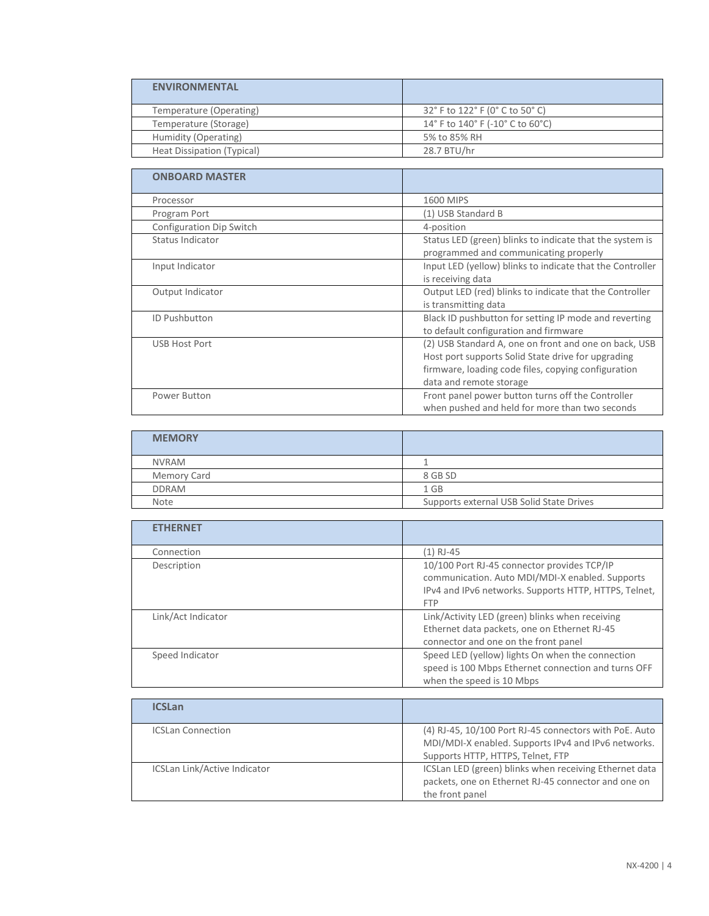| <b>ENVIRONMENTAL</b>       |                                  |
|----------------------------|----------------------------------|
| Temperature (Operating)    | 32° F to 122° F (0° C to 50° C)  |
| Temperature (Storage)      | 14° F to 140° F (-10° C to 60°C) |
| Humidity (Operating)       | 5% to 85% RH                     |
| Heat Dissipation (Typical) | 28.7 BTU/hr                      |

| <b>ONBOARD MASTER</b>    |                                                           |
|--------------------------|-----------------------------------------------------------|
| Processor                | 1600 MIPS                                                 |
| Program Port             | (1) USB Standard B                                        |
| Configuration Dip Switch | 4-position                                                |
| Status Indicator         | Status LED (green) blinks to indicate that the system is  |
|                          | programmed and communicating properly                     |
| Input Indicator          | Input LED (yellow) blinks to indicate that the Controller |
|                          | is receiving data                                         |
| Output Indicator         | Output LED (red) blinks to indicate that the Controller   |
|                          | is transmitting data                                      |
| <b>ID Pushbutton</b>     | Black ID pushbutton for setting IP mode and reverting     |
|                          | to default configuration and firmware                     |
| USB Host Port            | (2) USB Standard A, one on front and one on back, USB     |
|                          | Host port supports Solid State drive for upgrading        |
|                          | firmware, loading code files, copying configuration       |
|                          | data and remote storage                                   |
| Power Button             | Front panel power button turns off the Controller         |
|                          | when pushed and held for more than two seconds            |

| <b>MEMORY</b> |                                          |
|---------------|------------------------------------------|
| <b>NVRAM</b>  |                                          |
| Memory Card   | 8 GB SD                                  |
| <b>DDRAM</b>  | 1 GB                                     |
| Note          | Supports external USB Solid State Drives |

| <b>ETHERNET</b>    |                                                                                                                                                                       |
|--------------------|-----------------------------------------------------------------------------------------------------------------------------------------------------------------------|
| Connection         | (1) RJ-45                                                                                                                                                             |
| Description        | 10/100 Port RJ-45 connector provides TCP/IP<br>communication. Auto MDI/MDI-X enabled. Supports<br>IPv4 and IPv6 networks. Supports HTTP, HTTPS, Telnet,<br><b>FTP</b> |
| Link/Act Indicator | Link/Activity LED (green) blinks when receiving<br>Ethernet data packets, one on Ethernet RJ-45<br>connector and one on the front panel                               |
| Speed Indicator    | Speed LED (yellow) lights On when the connection<br>speed is 100 Mbps Ethernet connection and turns OFF<br>when the speed is 10 Mbps                                  |

| <b>ICSLan</b>                |                                                                                                                                                    |
|------------------------------|----------------------------------------------------------------------------------------------------------------------------------------------------|
| <b>ICSLan Connection</b>     | (4) RJ-45, 10/100 Port RJ-45 connectors with PoE. Auto<br>MDI/MDI-X enabled. Supports IPv4 and IPv6 networks.<br>Supports HTTP, HTTPS, Telnet, FTP |
| ICSLan Link/Active Indicator | ICSLan LED (green) blinks when receiving Ethernet data<br>packets, one on Ethernet RJ-45 connector and one on<br>the front panel                   |